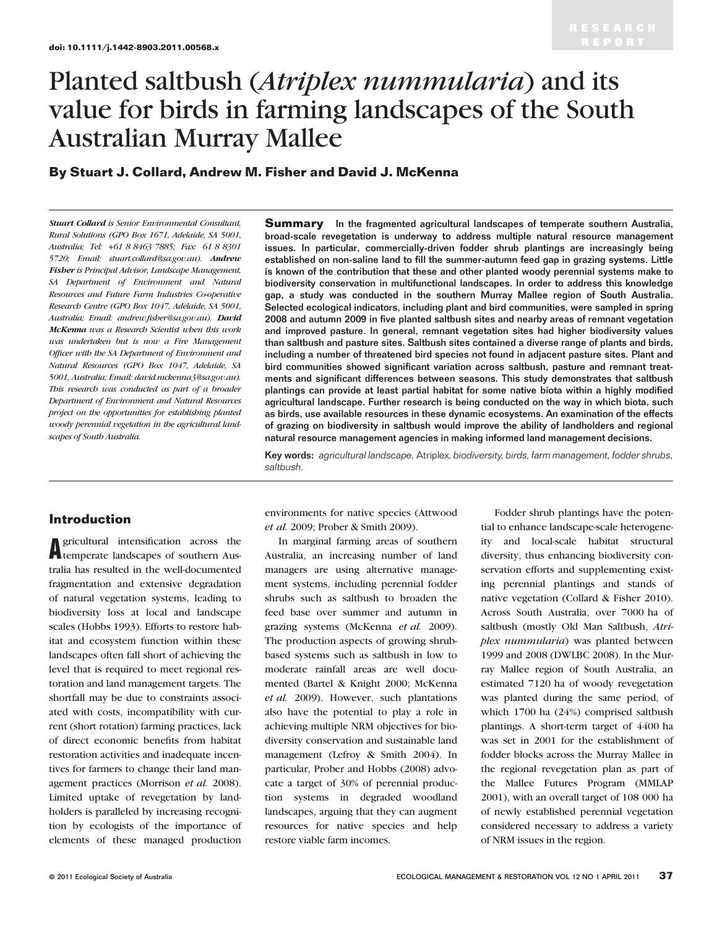# Planted saltbush (Atriplex nummularia) and its value for birds in farming landscapes of the South Australian Murray Mallee

By Stuart J. Collard, Andrew M. Fisher and David J. McKenna

Stuart Collard is Senior Environmental Consultant, Rural Solutions (GPO Box 1671, Adelaide, SA 5001, Australia; Tel: +61 8 8463 7885; Fax: 61 8 8301 5720; Email: stuart.collard@sa.gov.au). Andrew Fisher is Principal Advisor, Landscape Management, SA Department of Environment and Natural Resources and Future Farm Industries Co-operative Research Centre (GPO Box 1047, Adelaide, SA 5001, Australia; Email: andrew.fisher@sa.gov.au). David McKenna was a Research Scientist when this work was undertaken but is now a Fire Management Officer with the SA Department of Environment and Natural Resources (GPO Box 1047, Adelaide, SA 5001, Australia; Email: david.mckenna3@sa.gov.au). This research was conducted as part of a broader Department of Environment and Natural Resources project on the opportunities for establishing planted woody perennial vegetation in the agricultural landscapes of South Australia.

**Summary** In the fragmented agricultural landscapes of temperate southern Australia, broad-scale revegetation is underway to address multiple natural resource management issues. In particular, commercially-driven fodder shrub plantings are increasingly being established on non-saline land to fill the summer-autumn feed gap in grazing systems. Little is known of the contribution that these and other planted woody perennial systems make to biodiversity conservation in multifunctional landscapes. In order to address this knowledge gap, a study was conducted in the southern Murray Mallee region of South Australia. Selected ecological indicators, including plant and bird communities, were sampled in spring 2008 and autumn 2009 in five planted saltbush sites and nearby areas of remnant vegetation and improved pasture. In general, remnant vegetation sites had higher biodiversity values than saltbush and pasture sites. Saltbush sites contained a diverse range of plants and birds, including a number of threatened bird species not found in adjacent pasture sites. Plant and bird communities showed significant variation across saltbush, pasture and remnant treatments and significant differences between seasons. This study demonstrates that saltbush plantings can provide at least partial habitat for some native biota within a highly modified agricultural landscape. Further research is being conducted on the way in which biota, such as birds, use available resources in these dynamic ecosystems. An examination of the effects of grazing on biodiversity in saltbush would improve the ability of landholders and regional natural resource management agencies in making informed land management decisions.

Key words: agricultural landscape, Atriplex, biodiversity, birds, farm management, fodder shrubs, saltbush.

# Introduction

A temperate landscapes of southern Ausgricultural intensification across the tralia has resulted in the well-documented fragmentation and extensive degradation of natural vegetation systems, leading to biodiversity loss at local and landscape scales (Hobbs 1993). Efforts to restore habitat and ecosystem function within these landscapes often fall short of achieving the level that is required to meet regional restoration and land management targets. The shortfall may be due to constraints associated with costs, incompatibility with current (short rotation) farming practices, lack of direct economic benefits from habitat restoration activities and inadequate incentives for farmers to change their land management practices (Morrison et al. 2008). Limited uptake of revegetation by landholders is paralleled by increasing recognition by ecologists of the importance of elements of these managed production environments for native species (Attwood et al. 2009; Prober & Smith 2009).

In marginal farming areas of southern Australia, an increasing number of land managers are using alternative management systems, including perennial fodder shrubs such as saltbush to broaden the feed base over summer and autumn in grazing systems (McKenna et al. 2009). The production aspects of growing shrubbased systems such as saltbush in low to moderate rainfall areas are well documented (Bartel & Knight 2000; McKenna et al. 2009). However, such plantations also have the potential to play a role in achieving multiple NRM objectives for biodiversity conservation and sustainable land management (Lefroy & Smith 2004). In particular, Prober and Hobbs (2008) advocate a target of 30% of perennial production systems in degraded woodland landscapes, arguing that they can augment resources for native species and help restore viable farm incomes.

Fodder shrub plantings have the potential to enhance landscape-scale heterogeneity and local-scale habitat structural diversity, thus enhancing biodiversity conservation efforts and supplementing existing perennial plantings and stands of native vegetation (Collard & Fisher 2010). Across South Australia, over 7000 ha of saltbush (mostly Old Man Saltbush, Atriplex nummularia) was planted between 1999 and 2008 (DWLBC 2008). In the Murray Mallee region of South Australia, an estimated 7120 ha of woody revegetation was planted during the same period, of which 1700 ha (24%) comprised saltbush plantings. A short-term target of 4400 ha was set in 2001 for the establishment of fodder blocks across the Murray Mallee in the regional revegetation plan as part of the Mallee Futures Program (MMLAP 2001), with an overall target of 108 000 ha of newly established perennial vegetation considered necessary to address a variety of NRM issues in the region.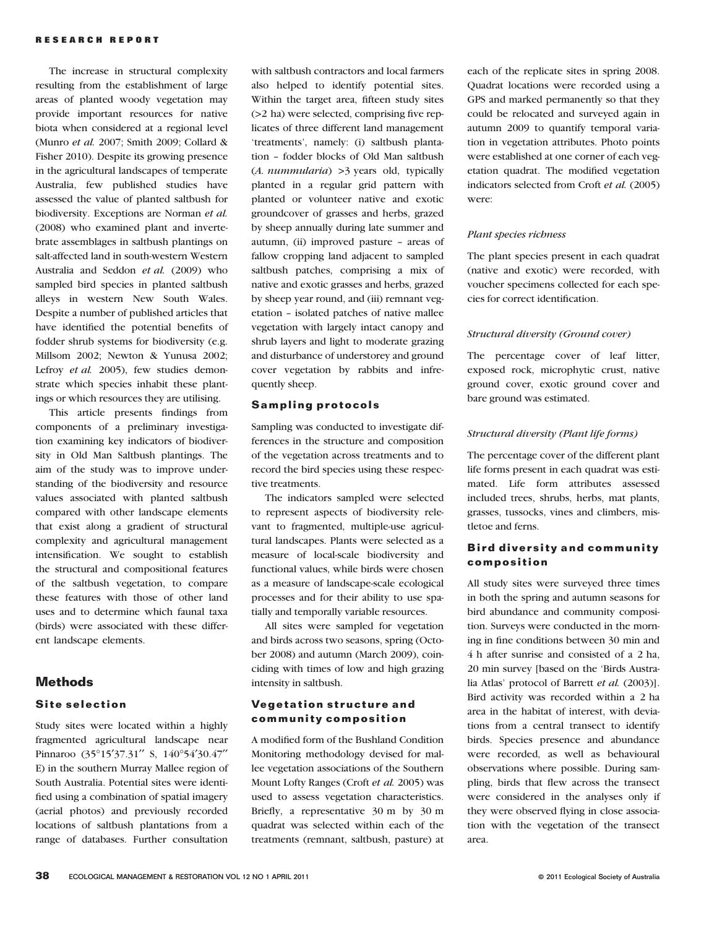The increase in structural complexity resulting from the establishment of large areas of planted woody vegetation may provide important resources for native biota when considered at a regional level (Munro et al. 2007; Smith 2009; Collard & Fisher 2010). Despite its growing presence in the agricultural landscapes of temperate Australia, few published studies have assessed the value of planted saltbush for biodiversity. Exceptions are Norman et al. (2008) who examined plant and invertebrate assemblages in saltbush plantings on salt-affected land in south-western Western Australia and Seddon et al. (2009) who sampled bird species in planted saltbush alleys in western New South Wales. Despite a number of published articles that have identified the potential benefits of fodder shrub systems for biodiversity (e.g. Millsom 2002; Newton & Yunusa 2002; Lefroy et al. 2005), few studies demonstrate which species inhabit these plantings or which resources they are utilising.

This article presents findings from components of a preliminary investigation examining key indicators of biodiversity in Old Man Saltbush plantings. The aim of the study was to improve understanding of the biodiversity and resource values associated with planted saltbush compared with other landscape elements that exist along a gradient of structural complexity and agricultural management intensification. We sought to establish the structural and compositional features of the saltbush vegetation, to compare these features with those of other land uses and to determine which faunal taxa (birds) were associated with these different landscape elements.

# Methods

### Site selection

Study sites were located within a highly fragmented agricultural landscape near Pinnaroo (35°15′37.31″S, 140°54′30.47″ E) in the southern Murray Mallee region of South Australia. Potential sites were identified using a combination of spatial imagery (aerial photos) and previously recorded locations of saltbush plantations from a range of databases. Further consultation

with saltbush contractors and local farmers also helped to identify potential sites. Within the target area, fifteen study sites (>2 ha) were selected, comprising five replicates of three different land management 'treatments', namely: (i) saltbush plantation – fodder blocks of Old Man saltbush  $(A. nummularia) >3$  years old, typically planted in a regular grid pattern with planted or volunteer native and exotic groundcover of grasses and herbs, grazed by sheep annually during late summer and autumn, (ii) improved pasture – areas of fallow cropping land adjacent to sampled saltbush patches, comprising a mix of native and exotic grasses and herbs, grazed by sheep year round, and (iii) remnant vegetation – isolated patches of native mallee vegetation with largely intact canopy and shrub layers and light to moderate grazing and disturbance of understorey and ground cover vegetation by rabbits and infrequently sheep.

## Sampling protocols

Sampling was conducted to investigate differences in the structure and composition of the vegetation across treatments and to record the bird species using these respective treatments.

The indicators sampled were selected to represent aspects of biodiversity relevant to fragmented, multiple-use agricultural landscapes. Plants were selected as a measure of local-scale biodiversity and functional values, while birds were chosen as a measure of landscape-scale ecological processes and for their ability to use spatially and temporally variable resources.

All sites were sampled for vegetation and birds across two seasons, spring (October 2008) and autumn (March 2009), coinciding with times of low and high grazing intensity in saltbush.

### Vegetation structure and community composition

A modified form of the Bushland Condition Monitoring methodology devised for mallee vegetation associations of the Southern Mount Lofty Ranges (Croft et al. 2005) was used to assess vegetation characteristics. Briefly, a representative 30 m by 30 m quadrat was selected within each of the treatments (remnant, saltbush, pasture) at each of the replicate sites in spring 2008. Quadrat locations were recorded using a GPS and marked permanently so that they could be relocated and surveyed again in autumn 2009 to quantify temporal variation in vegetation attributes. Photo points were established at one corner of each vegetation quadrat. The modified vegetation indicators selected from Croft et al. (2005) were:

#### Plant species richness

The plant species present in each quadrat (native and exotic) were recorded, with voucher specimens collected for each species for correct identification.

#### Structural diversity (Ground cover)

The percentage cover of leaf litter, exposed rock, microphytic crust, native ground cover, exotic ground cover and bare ground was estimated.

#### Structural diversity (Plant life forms)

The percentage cover of the different plant life forms present in each quadrat was estimated. Life form attributes assessed included trees, shrubs, herbs, mat plants, grasses, tussocks, vines and climbers, mistletoe and ferns.

# Bird diversity and community composition

All study sites were surveyed three times in both the spring and autumn seasons for bird abundance and community composition. Surveys were conducted in the morning in fine conditions between 30 min and 4 h after sunrise and consisted of a 2 ha, 20 min survey [based on the 'Birds Australia Atlas' protocol of Barrett et al. (2003)]. Bird activity was recorded within a 2 ha area in the habitat of interest, with deviations from a central transect to identify birds. Species presence and abundance were recorded, as well as behavioural observations where possible. During sampling, birds that flew across the transect were considered in the analyses only if they were observed flying in close association with the vegetation of the transect area.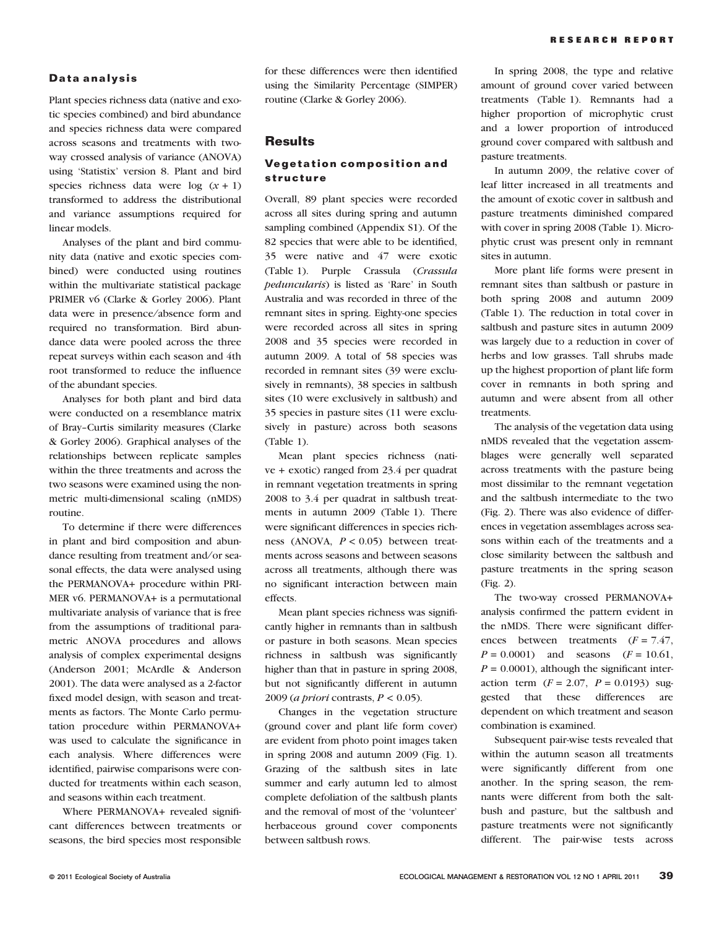## Data analysis

Plant species richness data (native and exotic species combined) and bird abundance and species richness data were compared across seasons and treatments with twoway crossed analysis of variance (ANOVA) using 'Statistix' version 8. Plant and bird species richness data were  $log(x + 1)$ transformed to address the distributional and variance assumptions required for linear models.

Analyses of the plant and bird community data (native and exotic species combined) were conducted using routines within the multivariate statistical package PRIMER v6 (Clarke & Gorley 2006). Plant data were in presence/absence form and required no transformation. Bird abundance data were pooled across the three repeat surveys within each season and 4th root transformed to reduce the influence of the abundant species.

Analyses for both plant and bird data were conducted on a resemblance matrix of Bray–Curtis similarity measures (Clarke & Gorley 2006). Graphical analyses of the relationships between replicate samples within the three treatments and across the two seasons were examined using the nonmetric multi-dimensional scaling (nMDS) routine.

To determine if there were differences in plant and bird composition and abundance resulting from treatment and/or seasonal effects, the data were analysed using the PERMANOVA+ procedure within PRI-MER v6. PERMANOVA+ is a permutational multivariate analysis of variance that is free from the assumptions of traditional parametric ANOVA procedures and allows analysis of complex experimental designs (Anderson 2001; McArdle & Anderson 2001). The data were analysed as a 2-factor fixed model design, with season and treatments as factors. The Monte Carlo permutation procedure within PERMANOVA+ was used to calculate the significance in each analysis. Where differences were identified, pairwise comparisons were conducted for treatments within each season, and seasons within each treatment.

Where PERMANOVA+ revealed significant differences between treatments or seasons, the bird species most responsible for these differences were then identified using the Similarity Percentage (SIMPER) routine (Clarke & Gorley 2006).

## **Results**

# Vegetation composition and structure

Overall, 89 plant species were recorded across all sites during spring and autumn sampling combined (Appendix S1). Of the 82 species that were able to be identified, 35 were native and 47 were exotic (Table 1). Purple Crassula (Crassula peduncularis) is listed as 'Rare' in South Australia and was recorded in three of the remnant sites in spring. Eighty-one species were recorded across all sites in spring 2008 and 35 species were recorded in autumn 2009. A total of 58 species was recorded in remnant sites (39 were exclusively in remnants), 38 species in saltbush sites (10 were exclusively in saltbush) and 35 species in pasture sites (11 were exclusively in pasture) across both seasons (Table 1).

Mean plant species richness (native + exotic) ranged from 23.4 per quadrat in remnant vegetation treatments in spring 2008 to 3.4 per quadrat in saltbush treatments in autumn 2009 (Table 1). There were significant differences in species richness (ANOVA,  $P < 0.05$ ) between treatments across seasons and between seasons across all treatments, although there was no significant interaction between main effects.

Mean plant species richness was significantly higher in remnants than in saltbush or pasture in both seasons. Mean species richness in saltbush was significantly higher than that in pasture in spring 2008, but not significantly different in autumn 2009 (*a priori* contrasts,  $P < 0.05$ ).

Changes in the vegetation structure (ground cover and plant life form cover) are evident from photo point images taken in spring 2008 and autumn 2009 (Fig. 1). Grazing of the saltbush sites in late summer and early autumn led to almost complete defoliation of the saltbush plants and the removal of most of the 'volunteer' herbaceous ground cover components between saltbush rows.

In spring 2008, the type and relative amount of ground cover varied between treatments (Table 1). Remnants had a higher proportion of microphytic crust and a lower proportion of introduced ground cover compared with saltbush and pasture treatments.

In autumn 2009, the relative cover of leaf litter increased in all treatments and the amount of exotic cover in saltbush and pasture treatments diminished compared with cover in spring 2008 (Table 1). Microphytic crust was present only in remnant sites in autumn.

More plant life forms were present in remnant sites than saltbush or pasture in both spring 2008 and autumn 2009 (Table 1). The reduction in total cover in saltbush and pasture sites in autumn 2009 was largely due to a reduction in cover of herbs and low grasses. Tall shrubs made up the highest proportion of plant life form cover in remnants in both spring and autumn and were absent from all other treatments.

The analysis of the vegetation data using nMDS revealed that the vegetation assemblages were generally well separated across treatments with the pasture being most dissimilar to the remnant vegetation and the saltbush intermediate to the two (Fig. 2). There was also evidence of differences in vegetation assemblages across seasons within each of the treatments and a close similarity between the saltbush and pasture treatments in the spring season (Fig. 2).

The two-way crossed PERMANOVA+ analysis confirmed the pattern evident in the nMDS. There were significant differences between treatments  $(F = 7.47)$ ,  $P = 0.0001$ ) and seasons  $(F = 10.61)$ ,  $P = 0.0001$ , although the significant interaction term  $(F = 2.07, P = 0.0193)$  suggested that these differences are dependent on which treatment and season combination is examined.

Subsequent pair-wise tests revealed that within the autumn season all treatments were significantly different from one another. In the spring season, the remnants were different from both the saltbush and pasture, but the saltbush and pasture treatments were not significantly different. The pair-wise tests across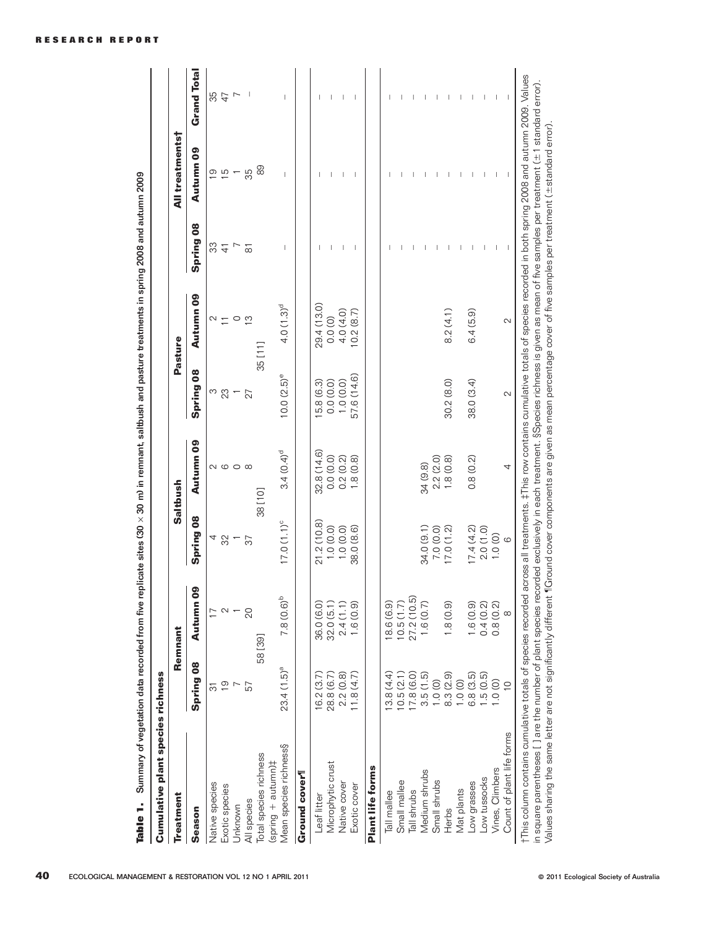| <b>Treatment</b>                              |                                                                                                                                                                                                                                                                                                               | Remnant                             |                          | Saltbush                          |                           | Pasture         |                     | All treatments†                |                |
|-----------------------------------------------|---------------------------------------------------------------------------------------------------------------------------------------------------------------------------------------------------------------------------------------------------------------------------------------------------------------|-------------------------------------|--------------------------|-----------------------------------|---------------------------|-----------------|---------------------|--------------------------------|----------------|
| Season                                        | Spring 08                                                                                                                                                                                                                                                                                                     | 80<br>Autumn                        | Spring 08                | Autumn 09                         | Spring 08                 | Autumn 09       | Spring 08           | Autumn 09                      | Grand Total    |
| Native species                                | 51                                                                                                                                                                                                                                                                                                            |                                     |                          |                                   |                           |                 |                     |                                |                |
| Exotic species                                | $\overline{0}$                                                                                                                                                                                                                                                                                                | $\sim$                              |                          |                                   | ო<br>ღ                    |                 | $\frac{4}{3}$       |                                | 357            |
| Unknown                                       | $\overline{\phantom{0}}$                                                                                                                                                                                                                                                                                      |                                     | $48 -$                   | $\alpha$ $\circ$ $\circ$ $\infty$ | $\overline{\phantom{0}}$  | $\alpha = 0$ is | $\overline{r}$      | $\frac{5}{2}$ in $\frac{1}{2}$ | $\overline{ }$ |
| All species                                   | 57                                                                                                                                                                                                                                                                                                            | $\infty$                            | 37                       |                                   | 27                        |                 | $\overline{\infty}$ | 35                             |                |
| Total species richness                        |                                                                                                                                                                                                                                                                                                               | 58 [39]                             |                          | 38 [10]                           |                           | 35 [11]         |                     | 89                             |                |
| Vlean species richness§<br>t(nmutue + antumn) | $23.4(1.5)$ <sup>a</sup>                                                                                                                                                                                                                                                                                      | 7.8 (0.6)                           | $17.0(1.1)$ <sup>c</sup> | $3.4(0.4)^d$                      | $10.0 (2.5)$ <sup>e</sup> | $4.0(1.3)^d$    |                     |                                |                |
| Ground cover¶                                 |                                                                                                                                                                                                                                                                                                               |                                     |                          |                                   |                           |                 |                     |                                |                |
| Leaf litter                                   |                                                                                                                                                                                                                                                                                                               | 36.0 (6.0)                          | 21.2 (10.8)              | 32.8 (14.6)                       | 15.8(6.3)                 | 29.4 (13.0)     |                     |                                |                |
| Microphytic crust                             | $\begin{array}{c} 16.2 & (3.7) \\ 28.8 & (6.7) \\ 2.2 & (0.8) \\ 11.8 & (4.7) \end{array}$                                                                                                                                                                                                                    | 32.0(5.1)                           | 1.0(0.0)                 | 0.0(0.0)                          | $0.0(0.0)$<br>1.0 $(0.0)$ | 0.0(0)          |                     |                                |                |
| Native cover                                  |                                                                                                                                                                                                                                                                                                               | 2.4(1.1)                            | 1.0(0.0)                 | 0.2(0.2)                          |                           | 4.0 (4.0)       |                     |                                |                |
| Exotic cover                                  |                                                                                                                                                                                                                                                                                                               | 1.6(0.9)                            | 38.0 (8.6)               | 1.8(0.8)                          | 57.6 (14.6)               | 0.2(8.7)        | т                   |                                |                |
| Plant life forms                              |                                                                                                                                                                                                                                                                                                               |                                     |                          |                                   |                           |                 |                     |                                |                |
| Tall mallee                                   | 3.8(4.4)                                                                                                                                                                                                                                                                                                      | 18.6 (6.9)                          |                          |                                   |                           |                 |                     |                                |                |
| Small mallee                                  | 0.5(2.1)                                                                                                                                                                                                                                                                                                      | 10.5(1.7)                           |                          |                                   |                           |                 |                     |                                |                |
| Tall shrubs                                   |                                                                                                                                                                                                                                                                                                               |                                     |                          |                                   |                           |                 |                     |                                |                |
| Medium shrubs                                 |                                                                                                                                                                                                                                                                                                               | $27.2(10.5)$<br>1.6 (0.7)           | 34.0 (9.1)               | 34 (9.8)                          |                           |                 |                     |                                |                |
| Small shrubs                                  |                                                                                                                                                                                                                                                                                                               |                                     | 7.0 (0.0)                | 2.2(2.0)                          |                           |                 |                     |                                |                |
| Herbs                                         |                                                                                                                                                                                                                                                                                                               | 1.8(0.9)                            | 17.0(1.2)                | 1.8(0.8)                          | 30.2(8.0)                 | 8.2 (4.1)       |                     |                                |                |
| Mat plants                                    | $\begin{array}{l} 1.85 \\ 1.87 \\ 1.87 \\ 1.87 \\ 1.87 \\ 1.87 \\ 1.87 \\ 1.87 \\ 1.87 \\ 1.87 \\ 1.87 \\ 1.87 \\ 1.87 \\ 1.87 \\ 1.87 \\ 1.87 \\ 1.87 \\ 1.87 \\ 1.87 \\ 1.87 \\ 1.87 \\ 1.87 \\ 1.87 \\ 1.87 \\ 1.87 \\ 1.87 \\ 1.87 \\ 1.87 \\ 1.87 \\ 1.87 \\ 1.87 \\ 1.87 \\ 1.87 \\ 1.87 \\ 1.87 \\ 1.$ |                                     |                          |                                   |                           |                 |                     |                                |                |
| Low grasses                                   |                                                                                                                                                                                                                                                                                                               |                                     | 17.4(4.2)                | 0.8(0.2)                          | 38.0 (3.4)                | 6.4(5.9)        |                     |                                |                |
| Low tussocks                                  |                                                                                                                                                                                                                                                                                                               |                                     | 2.0(1.0)                 |                                   |                           |                 |                     |                                |                |
| Vines, Climbers                               |                                                                                                                                                                                                                                                                                                               | $16(0.9)$<br>0.4 (0.2)<br>0.8 (0.2) | 1.0(0)                   |                                   |                           |                 |                     |                                |                |
| Count of plant life forms                     | $\overline{0}$                                                                                                                                                                                                                                                                                                | $\infty$                            | $\circ$                  | 4                                 | $\mathbf{\Omega}$         | $\mathbf{\sim}$ | J.                  |                                |                |

RESEARCH REPORT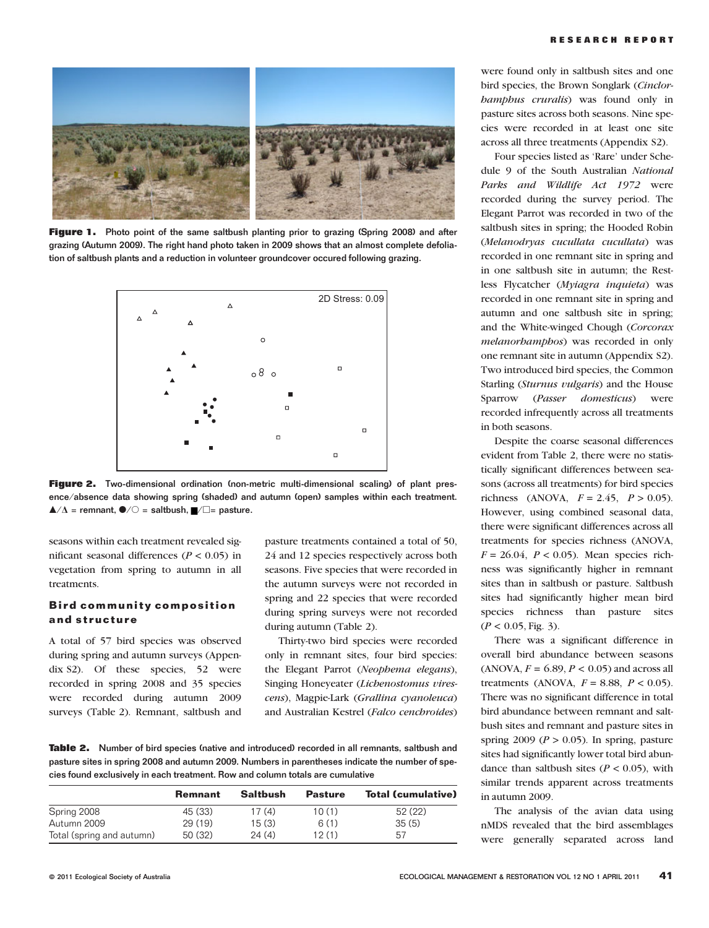

Figure 1. Photo point of the same saltbush planting prior to grazing (Spring 2008) and after grazing (Autumn 2009). The right hand photo taken in 2009 shows that an almost complete defoliation of saltbush plants and a reduction in volunteer groundcover occured following grazing.



Figure 2. Two-dimensional ordination (non-metric multi-dimensional scaling) of plant presence ⁄ absence data showing spring (shaded) and autumn (open) samples within each treatment.  $\triangle/\triangle$  = remnant,  $\bigcirc$  /  $\bigcirc$  = saltbush,  $\blacksquare$  /  $\square$ = pasture.

seasons within each treatment revealed significant seasonal differences ( $P < 0.05$ ) in vegetation from spring to autumn in all treatments.

### Bird community composition and structure

A total of 57 bird species was observed during spring and autumn surveys (Appendix S2). Of these species, 52 were recorded in spring 2008 and 35 species were recorded during autumn 2009 surveys (Table 2). Remnant, saltbush and pasture treatments contained a total of 50, 24 and 12 species respectively across both seasons. Five species that were recorded in the autumn surveys were not recorded in spring and 22 species that were recorded during spring surveys were not recorded during autumn (Table 2).

Thirty-two bird species were recorded only in remnant sites, four bird species: the Elegant Parrot (Neophema elegans), Singing Honeyeater (Lichenostomus virescens), Magpie-Lark (Grallina cyanoleuca) and Australian Kestrel (Falco cenchroides)

Table 2. Number of bird species (native and introduced) recorded in all remnants, saltbush and pasture sites in spring 2008 and autumn 2009. Numbers in parentheses indicate the number of species found exclusively in each treatment. Row and column totals are cumulative

|                           | Remnant | <b>Saltbush</b> | <b>Pasture</b> | <b>Total (cumulative)</b> |
|---------------------------|---------|-----------------|----------------|---------------------------|
| Spring 2008               | 45 (33) | 17(4)           | 10(1)          | 52 (22)                   |
| Autumn 2009               | 29(19)  | 15(3)           | 6(1)           | 35(5)                     |
| Total (spring and autumn) | 50 (32) | 24(4)           | 12(1)          | 57                        |

were found only in saltbush sites and one bird species, the Brown Songlark (Cinclorhamphus cruralis) was found only in pasture sites across both seasons. Nine species were recorded in at least one site across all three treatments (Appendix S2).

Four species listed as 'Rare' under Schedule 9 of the South Australian National Parks and Wildlife Act 1972 were recorded during the survey period. The Elegant Parrot was recorded in two of the saltbush sites in spring; the Hooded Robin (Melanodryas cucullata cucullata) was recorded in one remnant site in spring and in one saltbush site in autumn; the Restless Flycatcher (Myiagra inquieta) was recorded in one remnant site in spring and autumn and one saltbush site in spring; and the White-winged Chough (Corcorax melanorhamphos) was recorded in only one remnant site in autumn (Appendix S2). Two introduced bird species, the Common Starling (Sturnus vulgaris) and the House Sparrow (Passer domesticus) were recorded infrequently across all treatments in both seasons.

Despite the coarse seasonal differences evident from Table 2, there were no statistically significant differences between seasons (across all treatments) for bird species richness (ANOVA,  $F = 2.45$ ,  $P > 0.05$ ). However, using combined seasonal data, there were significant differences across all treatments for species richness (ANOVA,  $F = 26.04$ ,  $P < 0.05$ ). Mean species richness was significantly higher in remnant sites than in saltbush or pasture. Saltbush sites had significantly higher mean bird species richness than pasture sites  $(P < 0.05, Fig. 3)$ .

There was a significant difference in overall bird abundance between seasons (ANOVA,  $F = 6.89$ ,  $P < 0.05$ ) and across all treatments (ANOVA,  $F = 8.88$ ,  $P < 0.05$ ). There was no significant difference in total bird abundance between remnant and saltbush sites and remnant and pasture sites in spring 2009 ( $P > 0.05$ ). In spring, pasture sites had significantly lower total bird abundance than saltbush sites ( $P < 0.05$ ), with similar trends apparent across treatments in autumn 2009.

The analysis of the avian data using nMDS revealed that the bird assemblages were generally separated across land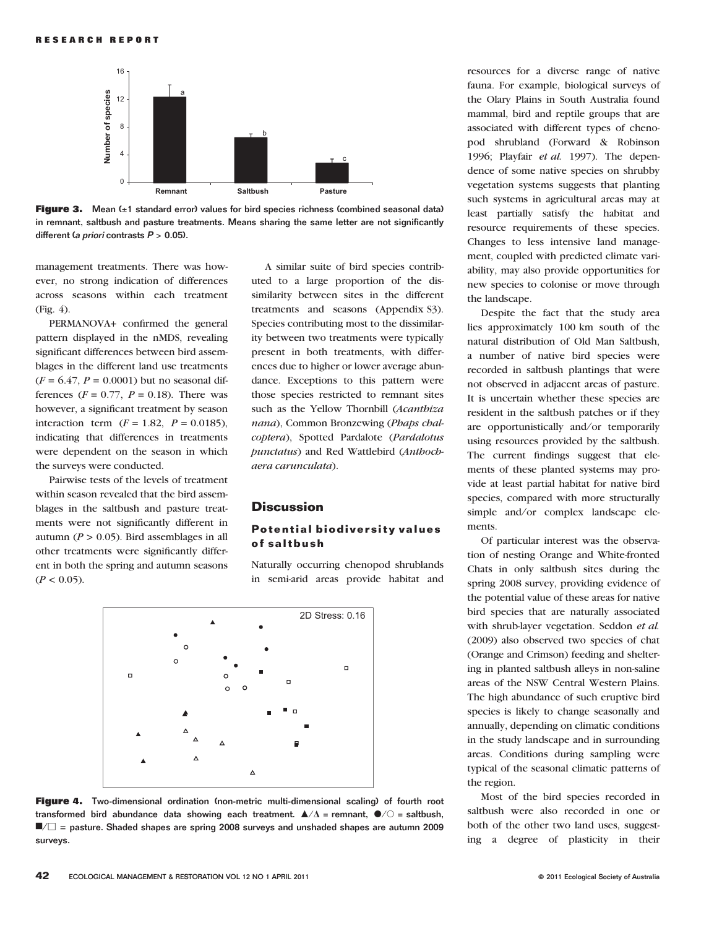

Figure 3. Mean  $(±1$  standard error) values for bird species richness (combined seasonal data) in remnant, saltbush and pasture treatments. Means sharing the same letter are not significantly different (a priori contrasts  $P > 0.05$ ).

management treatments. There was however, no strong indication of differences across seasons within each treatment  $(Fig. 4)$ .

PERMANOVA+ confirmed the general pattern displayed in the nMDS, revealing significant differences between bird assemblages in the different land use treatments  $(F = 6.47, P = 0.0001)$  but no seasonal differences ( $F = 0.77$ ,  $P = 0.18$ ). There was however, a significant treatment by season interaction term  $(F = 1.82, P = 0.0185)$ , indicating that differences in treatments were dependent on the season in which the surveys were conducted.

Pairwise tests of the levels of treatment within season revealed that the bird assemblages in the saltbush and pasture treatments were not significantly different in autumn ( $P > 0.05$ ). Bird assemblages in all other treatments were significantly different in both the spring and autumn seasons  $(P < 0.05)$ .

A similar suite of bird species contributed to a large proportion of the dissimilarity between sites in the different treatments and seasons (Appendix S3). Species contributing most to the dissimilarity between two treatments were typically present in both treatments, with differences due to higher or lower average abundance. Exceptions to this pattern were those species restricted to remnant sites such as the Yellow Thornbill (Acanthiza nana), Common Bronzewing (Phaps chalcoptera), Spotted Pardalote (Pardalotus punctatus) and Red Wattlebird (Anthochaera carunculata).

# **Discussion**

## Potential biodiversity values of saltbush

Naturally occurring chenopod shrublands in semi-arid areas provide habitat and



Figure 4. Two-dimensional ordination (non-metric multi-dimensional scaling) of fourth root transformed bird abundance data showing each treatment.  $\blacktriangle/\Delta$  = remnant,  $\blacklozenge$  /  $\bigcirc$  = saltbush,  $\blacksquare/\square$  = pasture. Shaded shapes are spring 2008 surveys and unshaded shapes are autumn 2009 surveys.

resources for a diverse range of native fauna. For example, biological surveys of the Olary Plains in South Australia found mammal, bird and reptile groups that are associated with different types of chenopod shrubland (Forward & Robinson 1996; Playfair et al. 1997). The dependence of some native species on shrubby vegetation systems suggests that planting such systems in agricultural areas may at least partially satisfy the habitat and resource requirements of these species. Changes to less intensive land management, coupled with predicted climate variability, may also provide opportunities for new species to colonise or move through the landscape.

Despite the fact that the study area lies approximately 100 km south of the natural distribution of Old Man Saltbush, a number of native bird species were recorded in saltbush plantings that were not observed in adjacent areas of pasture. It is uncertain whether these species are resident in the saltbush patches or if they are opportunistically and/or temporarily using resources provided by the saltbush. The current findings suggest that elements of these planted systems may provide at least partial habitat for native bird species, compared with more structurally simple and/or complex landscape elements.

Of particular interest was the observation of nesting Orange and White-fronted Chats in only saltbush sites during the spring 2008 survey, providing evidence of the potential value of these areas for native bird species that are naturally associated with shrub-layer vegetation. Seddon et al. (2009) also observed two species of chat (Orange and Crimson) feeding and sheltering in planted saltbush alleys in non-saline areas of the NSW Central Western Plains. The high abundance of such eruptive bird species is likely to change seasonally and annually, depending on climatic conditions in the study landscape and in surrounding areas. Conditions during sampling were typical of the seasonal climatic patterns of the region.

Most of the bird species recorded in saltbush were also recorded in one or both of the other two land uses, suggesting a degree of plasticity in their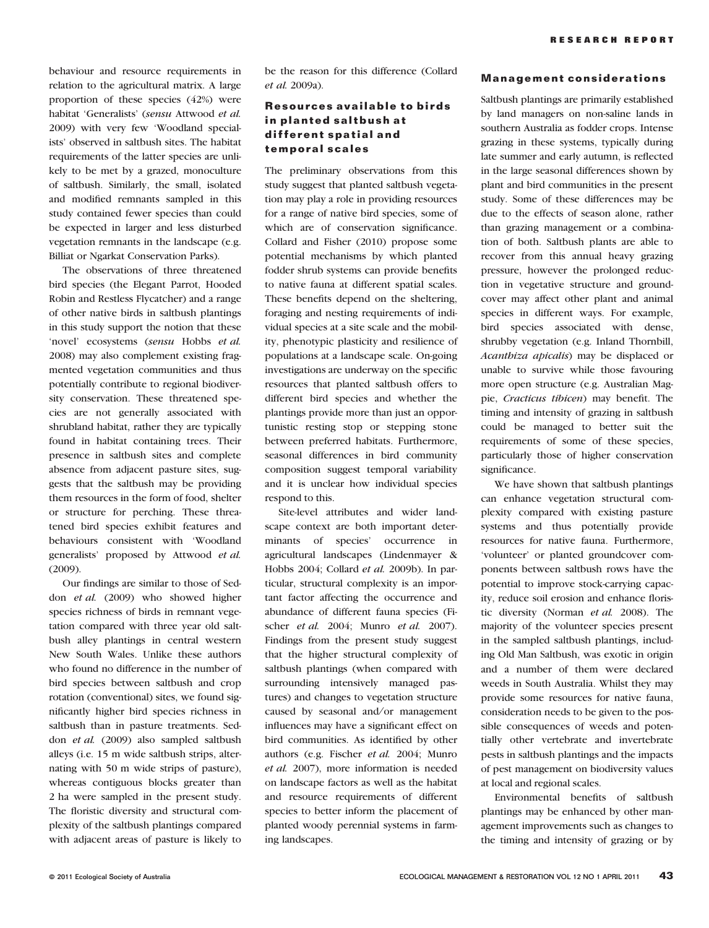behaviour and resource requirements in relation to the agricultural matrix. A large proportion of these species (42%) were habitat 'Generalists' (sensu Attwood et al. 2009) with very few 'Woodland specialists' observed in saltbush sites. The habitat requirements of the latter species are unlikely to be met by a grazed, monoculture of saltbush. Similarly, the small, isolated and modified remnants sampled in this study contained fewer species than could be expected in larger and less disturbed vegetation remnants in the landscape (e.g. Billiat or Ngarkat Conservation Parks).

The observations of three threatened bird species (the Elegant Parrot, Hooded Robin and Restless Flycatcher) and a range of other native birds in saltbush plantings in this study support the notion that these 'novel' ecosystems (sensu Hobbs et al. 2008) may also complement existing fragmented vegetation communities and thus potentially contribute to regional biodiversity conservation. These threatened species are not generally associated with shrubland habitat, rather they are typically found in habitat containing trees. Their presence in saltbush sites and complete absence from adjacent pasture sites, suggests that the saltbush may be providing them resources in the form of food, shelter or structure for perching. These threatened bird species exhibit features and behaviours consistent with 'Woodland generalists' proposed by Attwood et al. (2009).

Our findings are similar to those of Seddon et al. (2009) who showed higher species richness of birds in remnant vegetation compared with three year old saltbush alley plantings in central western New South Wales. Unlike these authors who found no difference in the number of bird species between saltbush and crop rotation (conventional) sites, we found significantly higher bird species richness in saltbush than in pasture treatments. Seddon et al. (2009) also sampled saltbush alleys (i.e. 15 m wide saltbush strips, alternating with 50 m wide strips of pasture), whereas contiguous blocks greater than 2 ha were sampled in the present study. The floristic diversity and structural complexity of the saltbush plantings compared with adjacent areas of pasture is likely to be the reason for this difference (Collard et al. 2009a).

# Resources available to birds in planted saltbush at different spatial and temporal scales

The preliminary observations from this study suggest that planted saltbush vegetation may play a role in providing resources for a range of native bird species, some of which are of conservation significance. Collard and Fisher (2010) propose some potential mechanisms by which planted fodder shrub systems can provide benefits to native fauna at different spatial scales. These benefits depend on the sheltering, foraging and nesting requirements of individual species at a site scale and the mobility, phenotypic plasticity and resilience of populations at a landscape scale. On-going investigations are underway on the specific resources that planted saltbush offers to different bird species and whether the plantings provide more than just an opportunistic resting stop or stepping stone between preferred habitats. Furthermore, seasonal differences in bird community composition suggest temporal variability and it is unclear how individual species respond to this.

Site-level attributes and wider landscape context are both important determinants of species' occurrence in agricultural landscapes (Lindenmayer & Hobbs 2004; Collard et al. 2009b). In particular, structural complexity is an important factor affecting the occurrence and abundance of different fauna species (Fischer et al. 2004; Munro et al. 2007). Findings from the present study suggest that the higher structural complexity of saltbush plantings (when compared with surrounding intensively managed pastures) and changes to vegetation structure caused by seasonal and/or management influences may have a significant effect on bird communities. As identified by other authors (e.g. Fischer et al. 2004; Munro et al. 2007), more information is needed on landscape factors as well as the habitat and resource requirements of different species to better inform the placement of planted woody perennial systems in farming landscapes.

#### Management considerations

Saltbush plantings are primarily established by land managers on non-saline lands in southern Australia as fodder crops. Intense grazing in these systems, typically during late summer and early autumn, is reflected in the large seasonal differences shown by plant and bird communities in the present study. Some of these differences may be due to the effects of season alone, rather than grazing management or a combination of both. Saltbush plants are able to recover from this annual heavy grazing pressure, however the prolonged reduction in vegetative structure and groundcover may affect other plant and animal species in different ways. For example, bird species associated with dense, shrubby vegetation (e.g. Inland Thornbill, Acanthiza apicalis) may be displaced or unable to survive while those favouring more open structure (e.g. Australian Magpie, Cracticus tibicen) may benefit. The timing and intensity of grazing in saltbush could be managed to better suit the requirements of some of these species, particularly those of higher conservation significance.

We have shown that saltbush plantings can enhance vegetation structural complexity compared with existing pasture systems and thus potentially provide resources for native fauna. Furthermore, 'volunteer' or planted groundcover components between saltbush rows have the potential to improve stock-carrying capacity, reduce soil erosion and enhance floristic diversity (Norman et al. 2008). The majority of the volunteer species present in the sampled saltbush plantings, including Old Man Saltbush, was exotic in origin and a number of them were declared weeds in South Australia. Whilst they may provide some resources for native fauna, consideration needs to be given to the possible consequences of weeds and potentially other vertebrate and invertebrate pests in saltbush plantings and the impacts of pest management on biodiversity values at local and regional scales.

Environmental benefits of saltbush plantings may be enhanced by other management improvements such as changes to the timing and intensity of grazing or by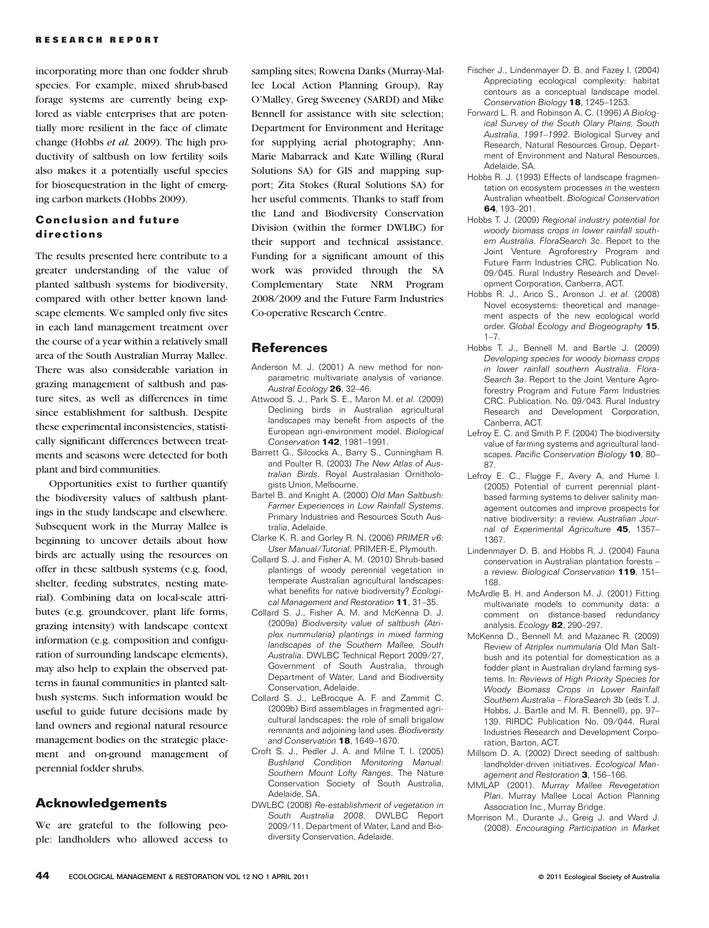incorporating more than one fodder shrub species. For example, mixed shrub-based forage systems are currently being explored as viable enterprises that are potentially more resilient in the face of climate change (Hobbs et al. 2009). The high productivity of saltbush on low fertility soils also makes it a potentially useful species for biosequestration in the light of emerging carbon markets (Hobbs 2009).

# Conclusion and future directions

The results presented here contribute to a greater understanding of the value of planted saltbush systems for biodiversity, compared with other better known landscape elements. We sampled only five sites in each land management treatment over the course of a year within a relatively small area of the South Australian Murray Mallee. There was also considerable variation in grazing management of saltbush and pasture sites, as well as differences in time since establishment for saltbush. Despite these experimental inconsistencies, statistically significant differences between treatments and seasons were detected for both plant and bird communities.

Opportunities exist to further quantify the biodiversity values of saltbush plantings in the study landscape and elsewhere. Subsequent work in the Murray Mallee is beginning to uncover details about how birds are actually using the resources on offer in these saltbush systems (e.g. food, shelter, feeding substrates, nesting material). Combining data on local-scale attributes (e.g. groundcover, plant life forms, grazing intensity) with landscape context information (e.g. composition and configuration of surrounding landscape elements), may also help to explain the observed patterns in faunal communities in planted saltbush systems. Such information would be useful to guide future decisions made by land owners and regional natural resource management bodies on the strategic placement and on-ground management of perennial fodder shrubs.

### Acknowledgements

We are grateful to the following people: landholders who allowed access to

sampling sites; Rowena Danks (Murray-Mallee Local Action Planning Group), Ray O'Malley, Greg Sweeney (SARDI) and Mike Bennell for assistance with site selection; Department for Environment and Heritage for supplying aerial photography; Ann-Marie Mabarrack and Kate Willing (Rural Solutions SA) for GIS and mapping support; Zita Stokes (Rural Solutions SA) for her useful comments. Thanks to staff from the Land and Biodiversity Conservation Division (within the former DWLBC) for their support and technical assistance. Funding for a significant amount of this work was provided through the SA Complementary State NRM Program 2008 ⁄ 2009 and the Future Farm Industries Co-operative Research Centre.

#### References

- Anderson M. J. (2001) A new method for nonparametric multivariate analysis of variance. Austral Ecology 26, 32–46.
- Attwood S. J., Park S. E., Maron M. et al. (2009) Declining birds in Australian agricultural landscapes may benefit from aspects of the European agri-environment model. Biological Conservation 142, 1981–1991.
- Barrett G., Silcocks A., Barry S., Cunningham R. and Poulter R. (2003) The New Atlas of Australian Birds. Royal Australasian Ornithologists Union, Melbourne.
- Bartel B. and Knight A. (2000) Old Man Saltbush: Farmer Experiences in Low Rainfall Systems. Primary Industries and Resources South Australia, Adelaide.
- Clarke K. R. and Gorley R. N. (2006) PRIMER v6: User Manual/Tutorial. PRIMER-E, Plymouth.
- Collard S. J. and Fisher A. M. (2010) Shrub-based plantings of woody perennial vegetation in temperate Australian agricultural landscapes: what benefits for native biodiversity? Ecological Management and Restoration 11, 31-35.
- Collard S. J., Fisher A. M. and McKenna D. J. (2009a) Biodiversity value of saltbush (Atriplex nummularia) plantings in mixed farming landscapes of the Southern Mallee, South Australia. DWLBC Technical Report 2009/27, Government of South Australia, through Department of Water, Land and Biodiversity Conservation, Adelaide.
- Collard S. J., LeBrocque A. F. and Zammit C. (2009b) Bird assemblages in fragmented agricultural landscapes: the role of small brigalow remnants and adjoining land uses. Biodiversity and Conservation 18, 1649-1670.
- Croft S. J., Pedler J. A. and Milne T. I. (2005) Bushland Condition Monitoring Manual: Southern Mount Lofty Ranges. The Nature Conservation Society of South Australia, Adelaide, SA.
- DWLBC (2008) Re-establishment of vegetation in South Australia 2008. DWLBC Report 2009/11. Department of Water, Land and Biodiversity Conservation, Adelaide.
- Fischer J., Lindenmayer D. B. and Fazey I. (2004) Appreciating ecological complexity: habitat contours as a conceptual landscape model. Conservation Biology 18, 1245-1253.
- Forward L. R. and Robinson A. C. (1996) A Biological Survey of the South Olary Plains, South Australia, 1991–1992. Biological Survey and Research, Natural Resources Group, Department of Environment and Natural Resources, Adelaide, SA.
- Hobbs R. J. (1993) Effects of landscape fragmentation on ecosystem processes in the western Australian wheatbelt. Biological Conservation 64, 193–201.
- Hobbs T. J. (2009) Regional industry potential for woody biomass crops in lower rainfall southern Australia. FloraSearch 3c. Report to the Joint Venture Agroforestry Program and Future Farm Industries CRC. Publication No. 09/045. Rural Industry Research and Development Corporation, Canberra, ACT.
- Hobbs R. J., Arico S., Aronson J. et al. (2008) Novel ecosystems: theoretical and management aspects of the new ecological world order. Global Ecology and Biogeography 15,  $1 - 7$ .
- Hobbs T. J., Bennell M. and Bartle J. (2009) Developing species for woody biomass crops in lower rainfall southern Australia. Flora-Search 3a. Report to the Joint Venture Agroforestry Program and Future Farm Industries CRC. Publication. No. 09/043. Rural Industry Research and Development Corporation, Canberra, ACT.
- Lefroy E. C. and Smith P. F. (2004) The biodiversity value of farming systems and agricultural landscapes. Pacific Conservation Biology 10, 80-87.
- Lefroy E. C., Flugge F., Avery A. and Hume I. (2005) Potential of current perennial plantbased farming systems to deliver salinity management outcomes and improve prospects for native biodiversity: a review. Australian Journal of Experimental Agriculture 45, 1357– 1367.
- Lindenmayer D. B. and Hobbs R. J. (2004) Fauna conservation in Australian plantation forests – a review. Biological Conservation 119, 151-168.
- McArdle B. H. and Anderson M. J. (2001) Fitting multivariate models to community data: a comment on distance-based redundancy analysis. Ecology 82, 290–297.
- McKenna D., Bennell M. and Mazanec R. (2009) Review of Atriplex nummularia Old Man Saltbush and its potential for domestication as a fodder plant in Australian dryland farming systems. In: Reviews of High Priority Species for Woody Biomass Crops in Lower Rainfall Southern Australia – FloraSearch 3b (eds T. J. Hobbs, J. Bartle and M. R. Bennell), pp. 97– 139. RIRDC Publication No. 09/044. Rural Industries Research and Development Corporation, Barton, ACT.
- Millsom D. A. (2002) Direct seeding of saltbush: landholder-driven initiatives. Ecological Management and Restoration 3, 156-166.
- MMLAP (2001). Murray Mallee Revegetation Plan. Murray Mallee Local Action Planning Association Inc., Murray Bridge.
- Morrison M., Durante J., Greig J. and Ward J. (2008). Encouraging Participation in Market